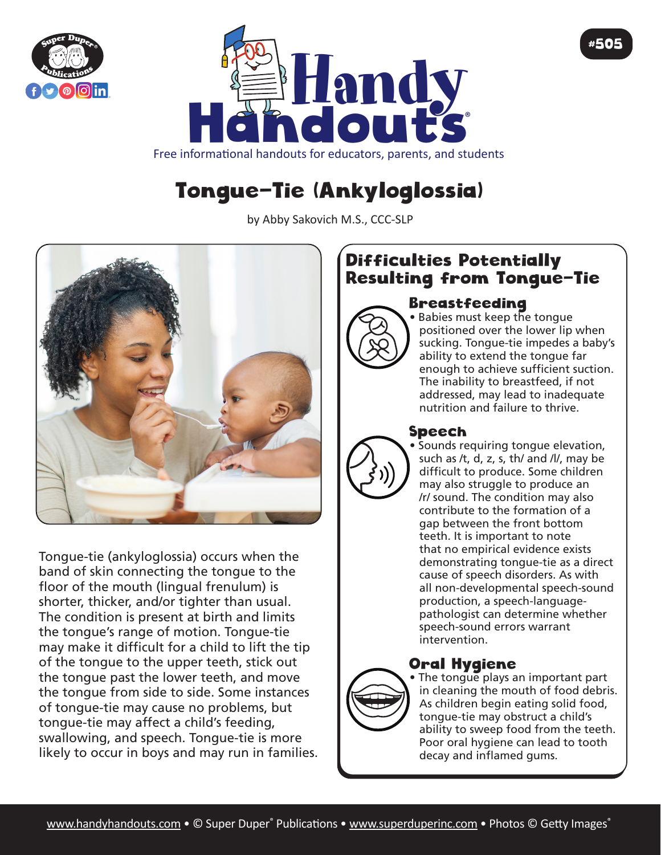



# Tongue-Tie (Ankyloglossia)

by Abby Sakovich M.S., CCC-SLP



Tongue-tie (ankyloglossia) occurs when the band of skin connecting the tongue to the floor of the mouth (lingual frenulum) is shorter, thicker, and/or tighter than usual. The condition is present at birth and limits the tongue's range of motion. Tongue-tie may make it difficult for a child to lift the tip of the tongue to the upper teeth, stick out the tongue past the lower teeth, and move the tongue from side to side. Some instances of tongue-tie may cause no problems, but tongue-tie may affect a child's feeding, swallowing, and speech. Tongue-tie is more likely to occur in boys and may run in families.

## Difficulties Potentially Resulting from Tongue-Tie

#### Breastfeeding



• Babies must keep the tongue positioned over the lower lip when sucking. Tongue-tie impedes a baby's ability to extend the tongue far enough to achieve sufficient suction. The inability to breastfeed, if not addressed, may lead to inadequate nutrition and failure to thrive.

#505

#### Speech

• Sounds requiring tongue elevation, such as /t, d, z, s, th/ and /l/, may be difficult to produce. Some children may also struggle to produce an /r/ sound. The condition may also contribute to the formation of a gap between the front bottom teeth. It is important to note that no empirical evidence exists demonstrating tongue-tie as a direct cause of speech disorders. As with all non-developmental speech-sound production, a speech-languagepathologist can determine whether speech-sound errors warrant intervention.

### Oral Hygiene



• The tongue plays an important part in cleaning the mouth of food debris. As children begin eating solid food, tongue-tie may obstruct a child's ability to sweep food from the teeth. Poor oral hygiene can lead to tooth decay and inflamed gums.